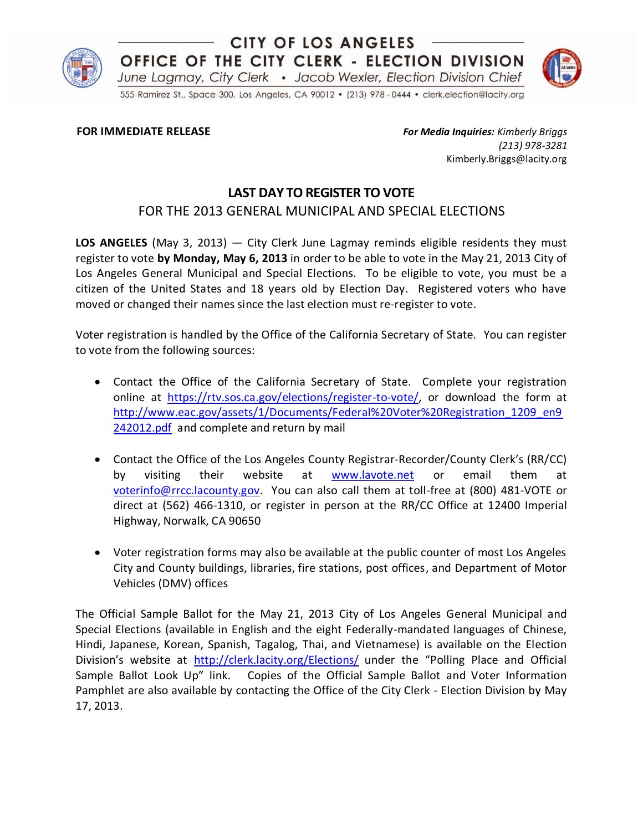

## **CITY OF LOS ANGELES** OFFICE OF THE CITY CLERK - ELECTION DIVISION June Lagmay, City Clerk . Jacob Wexler, Election Division Chief



555 Ramirez St., Space 300, Los Angeles, CA 90012 · (213) 978 - 0444 · clerk.election@lacity.org

**FOR IMMEDIATE RELEASE** *For Media Inquiries: Kimberly Briggs (213) 978-3281* Kimberly.Briggs@lacity.org

## **LAST DAY TO REGISTER TO VOTE**

## FOR THE 2013 GENERAL MUNICIPAL AND SPECIAL ELECTIONS

**LOS ANGELES** (May 3, 2013) — City Clerk June Lagmay reminds eligible residents they must register to vote **by Monday, May 6, 2013** in order to be able to vote in the May 21, 2013 City of Los Angeles General Municipal and Special Elections. To be eligible to vote, you must be a citizen of the United States and 18 years old by Election Day. Registered voters who have moved or changed their names since the last election must re-register to vote.

Voter registration is handled by the Office of the California Secretary of State. You can register to vote from the following sources:

- Contact the Office of the California Secretary of State. Complete your registration online at [https://rtv.sos.ca.gov/elections/register-to-vote/,](https://rtv.sos.ca.gov/elections/register-to-vote/) or download the form at [http://www.eac.gov/assets/1/Documents/Federal%20Voter%20Registration\\_1209\\_en9](http://www.eac.gov/assets/1/Documents/Federal%20Voter%20Registration_1209_en9242012.pdf) [242012.pdf](http://www.eac.gov/assets/1/Documents/Federal%20Voter%20Registration_1209_en9242012.pdf) and complete and return by mail
- Contact the Office of the Los Angeles County Registrar-Recorder/County Clerk's (RR/CC) by visiting their website at [www.lavote.net](http://www.lavote.net/) or email them at [voterinfo@rrcc.lacounty.gov.](mailto:voterinfo@rrcc.lacounty.gov) You can also call them at toll-free at (800) 481-VOTE or direct at (562) 466-1310, or register in person at the RR/CC Office at 12400 Imperial Highway, Norwalk, CA 90650
- Voter registration forms may also be available at the public counter of most Los Angeles City and County buildings, libraries, fire stations, post offices, and Department of Motor Vehicles (DMV) offices

The Official Sample Ballot for the May 21, 2013 City of Los Angeles General Municipal and Special Elections (available in English and the eight Federally-mandated languages of Chinese, Hindi, Japanese, Korean, Spanish, Tagalog, Thai, and Vietnamese) is available on the Election Division's website at <http://clerk.lacity.org/Elections/> under the "Polling Place and Official Sample Ballot Look Up" link. Copies of the Official Sample Ballot and Voter Information Pamphlet are also available by contacting the Office of the City Clerk - Election Division by May 17, 2013.